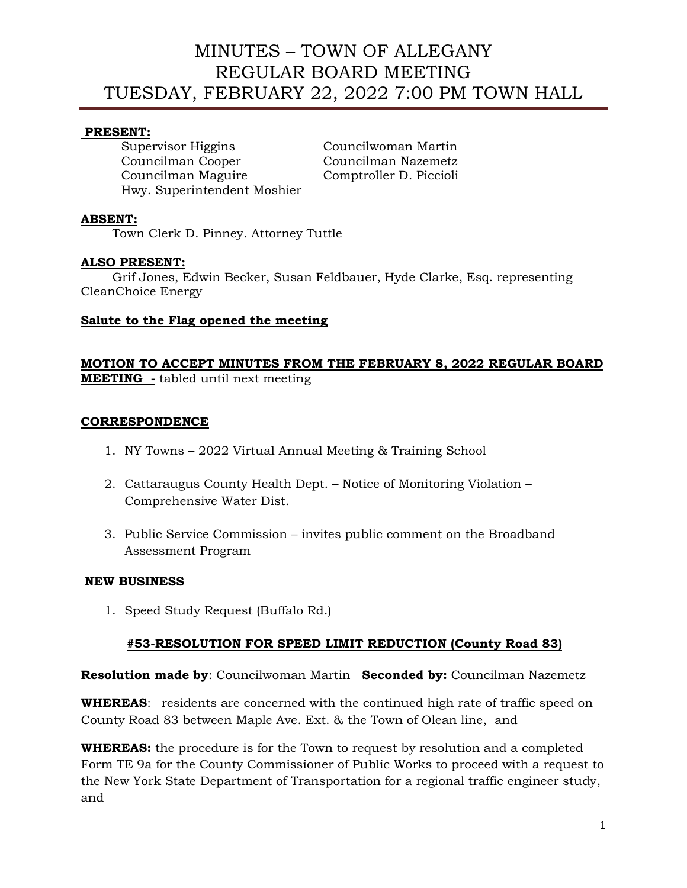# **PRESENT:**

Supervisor Higgins Councilwoman Martin Councilman Cooper Councilman Nazemetz Councilman Maguire Comptroller D. Piccioli Hwy. Superintendent Moshier

# **ABSENT:**

Town Clerk D. Pinney. Attorney Tuttle

## **ALSO PRESENT:**

 Grif Jones, Edwin Becker, Susan Feldbauer, Hyde Clarke, Esq. representing CleanChoice Energy

## **Salute to the Flag opened the meeting**

## **MOTION TO ACCEPT MINUTES FROM THE FEBRUARY 8, 2022 REGULAR BOARD MEETING -** tabled until next meeting

## **CORRESPONDENCE**

- 1. NY Towns 2022 Virtual Annual Meeting & Training School
- 2. Cattaraugus County Health Dept. Notice of Monitoring Violation Comprehensive Water Dist.
- 3. Public Service Commission invites public comment on the Broadband Assessment Program

## **NEW BUSINESS**

1. Speed Study Request (Buffalo Rd.)

# **#53-RESOLUTION FOR SPEED LIMIT REDUCTION (County Road 83)**

**Resolution made by**: Councilwoman Martin **Seconded by:** Councilman Nazemetz

**WHEREAS**: residents are concerned with the continued high rate of traffic speed on County Road 83 between Maple Ave. Ext. & the Town of Olean line, and

**WHEREAS:** the procedure is for the Town to request by resolution and a completed Form TE 9a for the County Commissioner of Public Works to proceed with a request to the New York State Department of Transportation for a regional traffic engineer study, and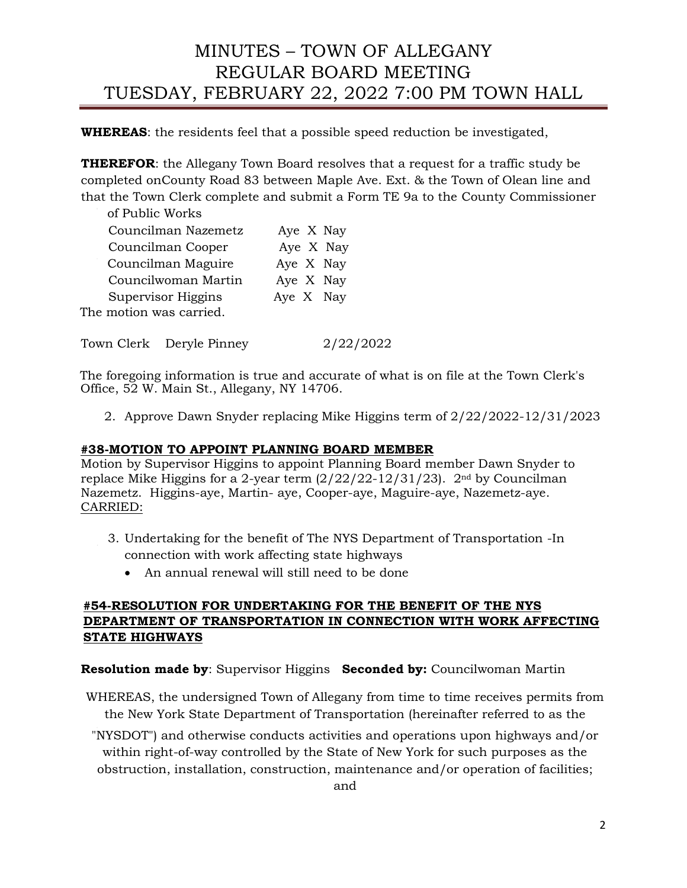**WHEREAS**: the residents feel that a possible speed reduction be investigated,

**THEREFOR**: the Allegany Town Board resolves that a request for a traffic study be completed onCounty Road 83 between Maple Ave. Ext. & the Town of Olean line and that the Town Clerk complete and submit a Form TE 9a to the County Commissioner

of Public Works

| Councilman Nazemetz     | Aye X Nay |
|-------------------------|-----------|
| Councilman Cooper       | Aye X Nay |
| Councilman Maguire      | Aye X Nay |
| Councilwoman Martin     | Aye X Nay |
| Supervisor Higgins      | Aye X Nay |
| The motion was carried. |           |

Town Clerk Deryle Pinney 2/22/2022

The foregoing information is true and accurate of what is on file at the Town Clerk's Office, 52 W. Main St., Allegany, NY 14706.

2. Approve Dawn Snyder replacing Mike Higgins term of 2/22/2022-12/31/2023

# **#38-MOTION TO APPOINT PLANNING BOARD MEMBER**

Motion by Supervisor Higgins to appoint Planning Board member Dawn Snyder to replace Mike Higgins for a 2-year term  $\left(\frac{2}{22}/22 - \frac{12}{31}/23\right)$ .  $2<sup>nd</sup>$  by Councilman Nazemetz. Higgins-aye, Martin- aye, Cooper-aye, Maguire-aye, Nazemetz-aye. CARRIED:

- 3. Undertaking for the benefit of The NYS Department of Transportation -In connection with work affecting state highways
	- An annual renewal will still need to be done

# **#54-RESOLUTION FOR UNDERTAKING FOR THE BENEFIT OF THE NYS DEPARTMENT OF TRANSPORTATION IN CONNECTION WITH WORK AFFECTING STATE HIGHWAYS**

**Resolution made by**: Supervisor Higgins **Seconded by:** Councilwoman Martin

WHEREAS, the undersigned Town of Allegany from time to time receives permits from the New York State Department of Transportation (hereinafter referred to as the

"NYSDOT") and otherwise conducts activities and operations upon highways and/or within right-of-way controlled by the State of New York for such purposes as the obstruction, installation, construction, maintenance and/or operation of facilities;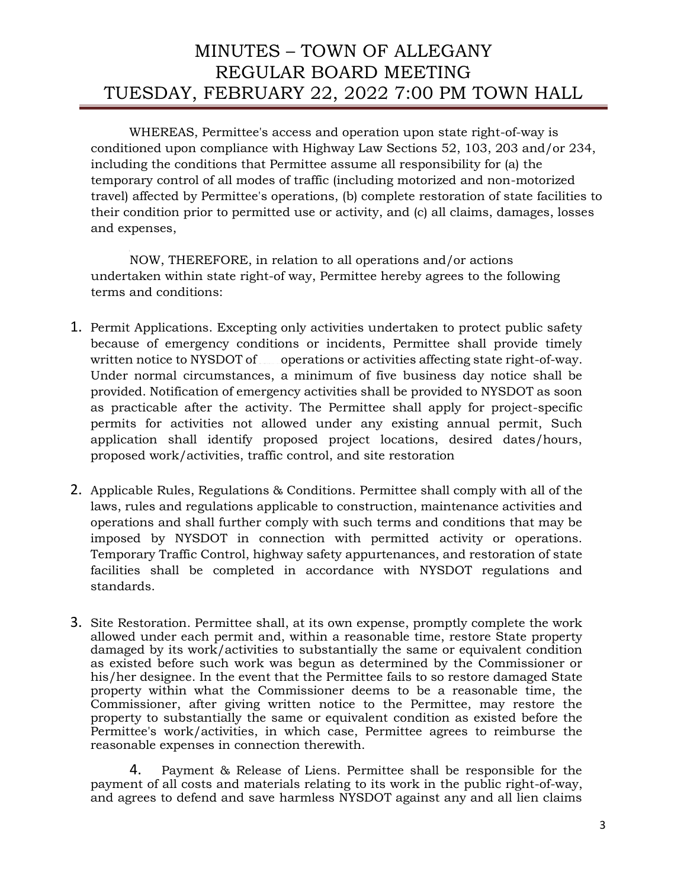WHEREAS, Permittee's access and operation upon state right-of-way is conditioned upon compliance with Highway Law Sections 52, 103, 203 and/or 234, including the conditions that Permittee assume all responsibility for (a) the temporary control of all modes of traffic (including motorized and non-motorized travel) affected by Permittee's operations, (b) complete restoration of state facilities to their condition prior to permitted use or activity, and (c) all claims, damages, losses and expenses,

NOW, THEREFORE, in relation to all operations and/or actions undertaken within state right-of way, Permittee hereby agrees to the following terms and conditions:

- 1. Permit Applications. Excepting only activities undertaken to protect public safety because of emergency conditions or incidents, Permittee shall provide timely written notice to NYSDOT of operations or activities affecting state right-of-way. Under normal circumstances, a minimum of five business day notice shall be provided. Notification of emergency activities shall be provided to NYSDOT as soon as practicable after the activity. The Permittee shall apply for project-specific permits for activities not allowed under any existing annual permit, Such application shall identify proposed project locations, desired dates/hours, proposed work/activities, traffic control, and site restoration
- 2. Applicable Rules, Regulations & Conditions. Permittee shall comply with all of the laws, rules and regulations applicable to construction, maintenance activities and operations and shall further comply with such terms and conditions that may be imposed by NYSDOT in connection with permitted activity or operations. Temporary Traffic Control, highway safety appurtenances, and restoration of state facilities shall be completed in accordance with NYSDOT regulations and standards.
- 3. Site Restoration. Permittee shall, at its own expense, promptly complete the work allowed under each permit and, within a reasonable time, restore State property damaged by its work/activities to substantially the same or equivalent condition as existed before such work was begun as determined by the Commissioner or his/her designee. In the event that the Permittee fails to so restore damaged State property within what the Commissioner deems to be a reasonable time, the Commissioner, after giving written notice to the Permittee, may restore the property to substantially the same or equivalent condition as existed before the Permittee's work/activities, in which case, Permittee agrees to reimburse the reasonable expenses in connection therewith.

4. Payment & Release of Liens. Permittee shall be responsible for the payment of all costs and materials relating to its work in the public right-of-way, and agrees to defend and save harmless NYSDOT against any and all lien claims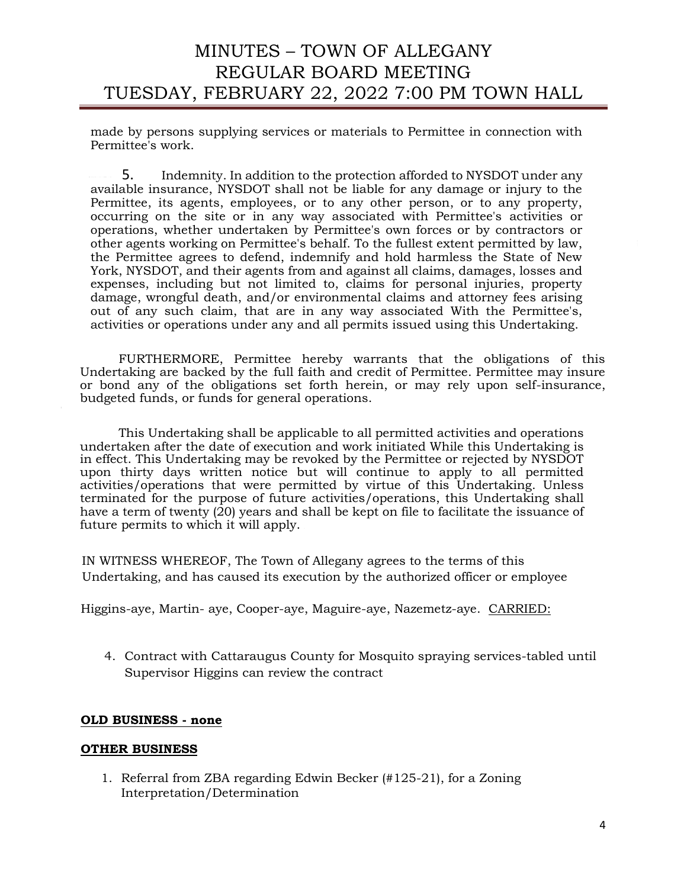made by persons supplying services or materials to Permittee in connection with Permittee's work.

5. Indemnity. In addition to the protection afforded to NYSDOT under any available insurance, NYSDOT shall not be liable for any damage or injury to the Permittee, its agents, employees, or to any other person, or to any property, occurring on the site or in any way associated with Permittee's activities or operations, whether undertaken by Permittee's own forces or by contractors or other agents working on Permittee's behalf. To the fullest extent permitted by law, the Permittee agrees to defend, indemnify and hold harmless the State of New York, NYSDOT, and their agents from and against all claims, damages, losses and expenses, including but not limited to, claims for personal injuries, property damage, wrongful death, and/or environmental claims and attorney fees arising out of any such claim, that are in any way associated With the Permittee's, activities or operations under any and all permits issued using this Undertaking.

FURTHERMORE, Permittee hereby warrants that the obligations of this Undertaking are backed by the full faith and credit of Permittee. Permittee may insure or bond any of the obligations set forth herein, or may rely upon self-insurance, budgeted funds, or funds for general operations.

This Undertaking shall be applicable to all permitted activities and operations undertaken after the date of execution and work initiated While this Undertaking is in effect. This Undertaking may be revoked by the Permittee or rejected by NYSDOT upon thirty days written notice but will continue to apply to all permitted activities/operations that were permitted by virtue of this Undertaking. Unless terminated for the purpose of future activities/operations, this Undertaking shall have a term of twenty  $(20)$  years and shall be kept on file to facilitate the issuance of future permits to which it will apply.

IN WITNESS WHEREOF, The Town of Allegany agrees to the terms of this Undertaking, and has caused its execution by the authorized officer or employee

Higgins-aye, Martin- aye, Cooper-aye, Maguire-aye, Nazemetz-aye. CARRIED:

4. Contract with Cattaraugus County for Mosquito spraying services-tabled until Supervisor Higgins can review the contract

#### **OLD BUSINESS - none**

#### **OTHER BUSINESS**

1. Referral from ZBA regarding Edwin Becker (#125-21), for a Zoning Interpretation/Determination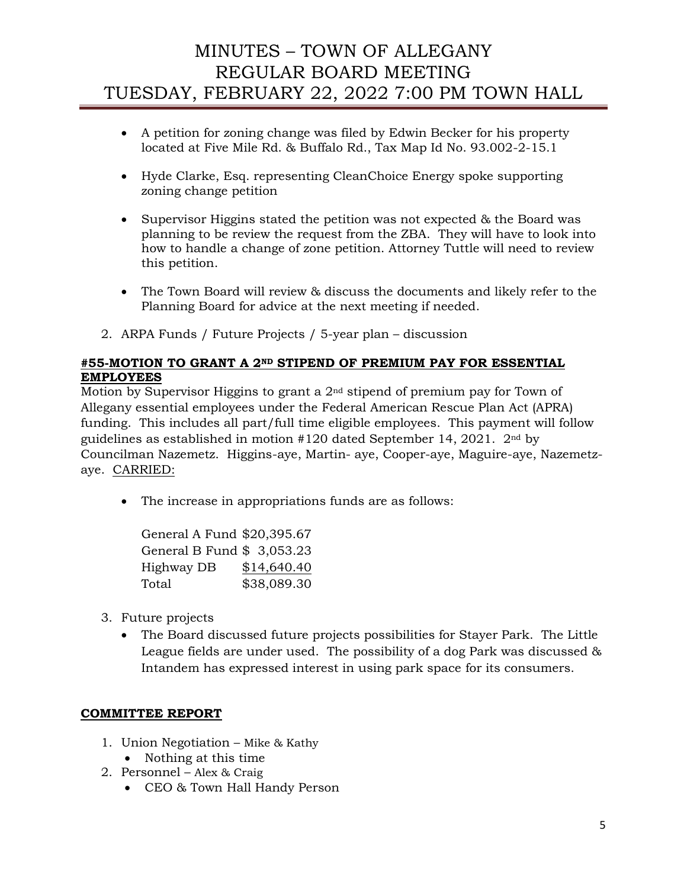- A petition for zoning change was filed by Edwin Becker for his property located at Five Mile Rd. & Buffalo Rd., Tax Map Id No. 93.002-2-15.1
- Hyde Clarke, Esq. representing CleanChoice Energy spoke supporting zoning change petition
- Supervisor Higgins stated the petition was not expected & the Board was planning to be review the request from the ZBA. They will have to look into how to handle a change of zone petition. Attorney Tuttle will need to review this petition.
- The Town Board will review & discuss the documents and likely refer to the Planning Board for advice at the next meeting if needed.
- 2. ARPA Funds / Future Projects / 5-year plan discussion

# **#55-MOTION TO GRANT A 2ND STIPEND OF PREMIUM PAY FOR ESSENTIAL EMPLOYEES**

Motion by Supervisor Higgins to grant a 2nd stipend of premium pay for Town of Allegany essential employees under the Federal American Rescue Plan Act (APRA) funding. This includes all part/full time eligible employees. This payment will follow guidelines as established in motion #120 dated September 14, 2021. 2nd by Councilman Nazemetz. Higgins-aye, Martin- aye, Cooper-aye, Maguire-aye, Nazemetzaye. CARRIED:

• The increase in appropriations funds are as follows:

| General A Fund \$20,395.67 |             |
|----------------------------|-------------|
| General B Fund \$ 3,053.23 |             |
| Highway DB                 | \$14,640.40 |
| Total                      | \$38,089.30 |

- 3. Future projects
	- The Board discussed future projects possibilities for Stayer Park. The Little League fields are under used. The possibility of a dog Park was discussed & Intandem has expressed interest in using park space for its consumers.

# **COMMITTEE REPORT**

- 1. Union Negotiation Mike & Kathy
	- Nothing at this time
- 2. Personnel Alex & Craig
	- CEO & Town Hall Handy Person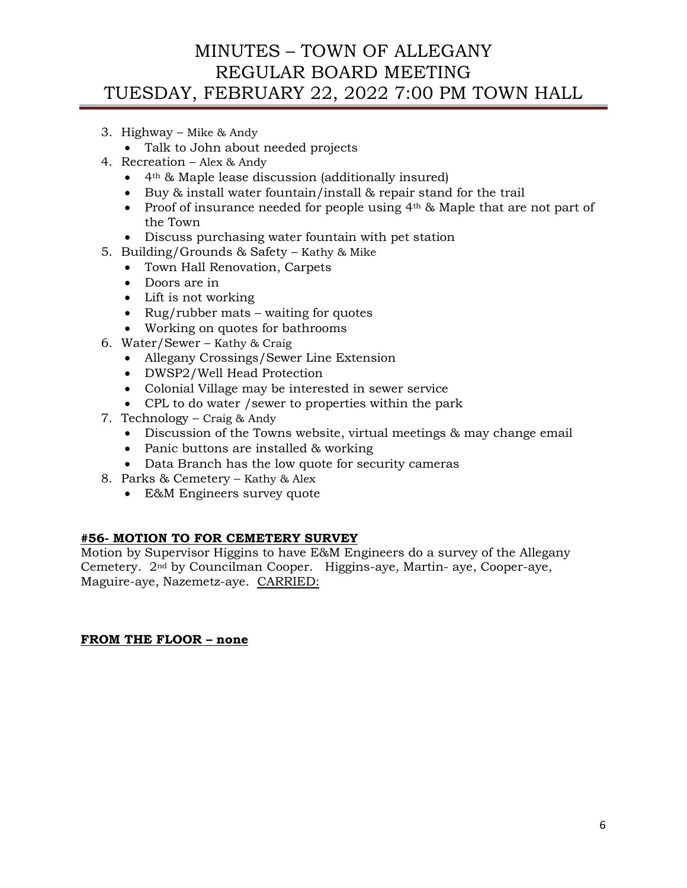- 3. Highway Mike & Andy
	- Talk to John about needed projects
- 4. Recreation Alex & Andy
	- 4th & Maple lease discussion (additionally insured)
	- Buy & install water fountain/install & repair stand for the trail
	- Proof of insurance needed for people using  $4<sup>th</sup>$  & Maple that are not part of the Town
	- Discuss purchasing water fountain with pet station
- 5. Building/Grounds & Safety Kathy & Mike
	- Town Hall Renovation, Carpets
	- Doors are in
	- Lift is not working
	- Rug/rubber mats waiting for quotes
	- Working on quotes for bathrooms
- 6. Water/Sewer Kathy & Craig
	- Allegany Crossings/Sewer Line Extension
	- DWSP2/Well Head Protection
	- Colonial Village may be interested in sewer service
	- CPL to do water /sewer to properties within the park
- 7. Technology Craig & Andy
	- Discussion of the Towns website, virtual meetings & may change email
	- Panic buttons are installed & working
	- Data Branch has the low quote for security cameras
- 8. Parks & Cemetery Kathy & Alex
	- E&M Engineers survey quote

## **#56- MOTION TO FOR CEMETERY SURVEY**

Motion by Supervisor Higgins to have E&M Engineers do a survey of the Allegany Cemetery. 2nd by Councilman Cooper. Higgins-aye, Martin- aye, Cooper-aye, Maguire-aye, Nazemetz-aye. CARRIED:

## **FROM THE FLOOR – none**